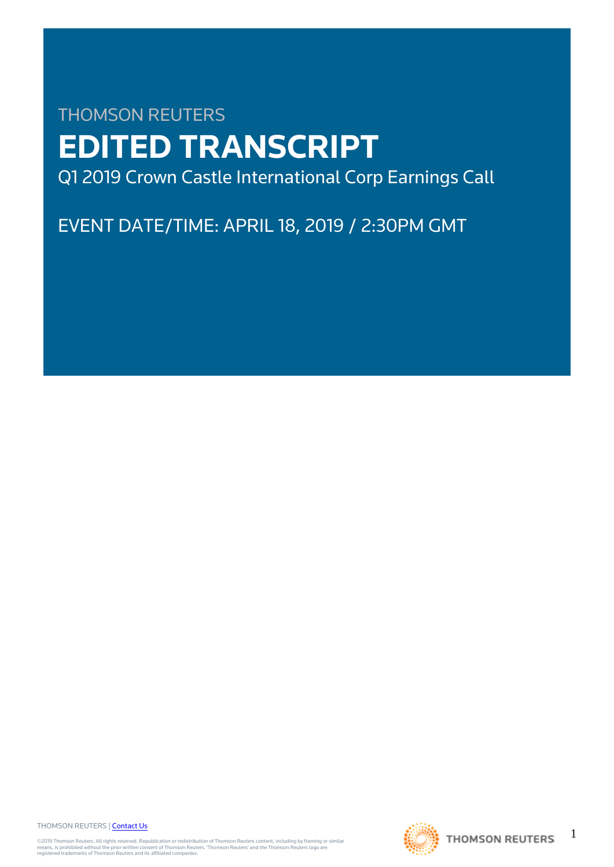# THOMSON REUTERS **EDITED TRANSCRIPT** Q1 2019 Crown Castle International Corp Earnings Call

EVENT DATE/TIME: APRIL 18, 2019 / 2:30PM GMT

THOMSON REUTERS | [Contact Us](https://my.thomsonreuters.com/ContactUsNew)

©2019 Thomson Reuters. All rights reserved. Republication or redistribution of Thomson Reuters content, including by framing or similar<br>means, is prohibited without the prior written consent of Thomson Reuters. "Thomson Re



1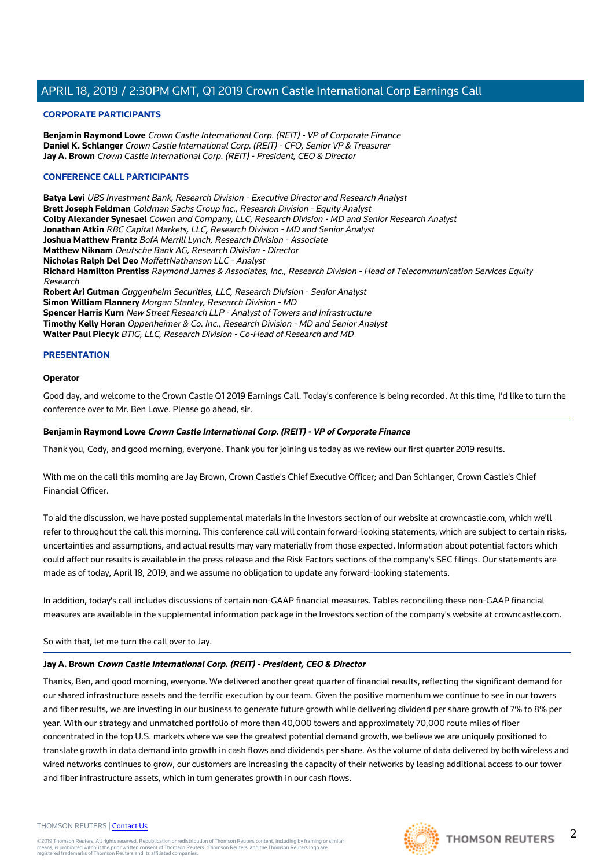#### **CORPORATE PARTICIPANTS**

**Benjamin Raymond Lowe** Crown Castle International Corp. (REIT) - VP of Corporate Finance **Daniel K. Schlanger** Crown Castle International Corp. (REIT) - CFO, Senior VP & Treasurer **Jay A. Brown** Crown Castle International Corp. (REIT) - President, CEO & Director

### **CONFERENCE CALL PARTICIPANTS**

**Batya Levi** UBS Investment Bank, Research Division - Executive Director and Research Analyst **Brett Joseph Feldman** Goldman Sachs Group Inc., Research Division - Equity Analyst **Colby Alexander Synesael** Cowen and Company, LLC, Research Division - MD and Senior Research Analyst **Jonathan Atkin** RBC Capital Markets, LLC, Research Division - MD and Senior Analyst **Joshua Matthew Frantz** BofA Merrill Lynch, Research Division - Associate **Matthew Niknam** Deutsche Bank AG, Research Division - Director **Nicholas Ralph Del Deo** MoffettNathanson LLC - Analyst **Richard Hamilton Prentiss** Raymond James & Associates, Inc., Research Division - Head of Telecommunication Services Equity Research **Robert Ari Gutman** Guggenheim Securities, LLC, Research Division - Senior Analyst **Simon William Flannery** Morgan Stanley, Research Division - MD **Spencer Harris Kurn** New Street Research LLP - Analyst of Towers and Infrastructure **Timothy Kelly Horan** Oppenheimer & Co. Inc., Research Division - MD and Senior Analyst **Walter Paul Piecyk** BTIG, LLC, Research Division - Co-Head of Research and MD

### **PRESENTATION**

#### **Operator**

Good day, and welcome to the Crown Castle Q1 2019 Earnings Call. Today's conference is being recorded. At this time, I'd like to turn the conference over to Mr. Ben Lowe. Please go ahead, sir.

#### **Benjamin Raymond Lowe Crown Castle International Corp. (REIT) - VP of Corporate Finance**

Thank you, Cody, and good morning, everyone. Thank you for joining us today as we review our first quarter 2019 results.

With me on the call this morning are Jay Brown, Crown Castle's Chief Executive Officer; and Dan Schlanger, Crown Castle's Chief Financial Officer.

To aid the discussion, we have posted supplemental materials in the Investors section of our website at crowncastle.com, which we'll refer to throughout the call this morning. This conference call will contain forward-looking statements, which are subject to certain risks, uncertainties and assumptions, and actual results may vary materially from those expected. Information about potential factors which could affect our results is available in the press release and the Risk Factors sections of the company's SEC filings. Our statements are made as of today, April 18, 2019, and we assume no obligation to update any forward-looking statements.

In addition, today's call includes discussions of certain non-GAAP financial measures. Tables reconciling these non-GAAP financial measures are available in the supplemental information package in the Investors section of the company's website at crowncastle.com.

So with that, let me turn the call over to Jay.

#### **Jay A. Brown Crown Castle International Corp. (REIT) - President, CEO & Director**

Thanks, Ben, and good morning, everyone. We delivered another great quarter of financial results, reflecting the significant demand for our shared infrastructure assets and the terrific execution by our team. Given the positive momentum we continue to see in our towers and fiber results, we are investing in our business to generate future growth while delivering dividend per share growth of 7% to 8% per year. With our strategy and unmatched portfolio of more than 40,000 towers and approximately 70,000 route miles of fiber concentrated in the top U.S. markets where we see the greatest potential demand growth, we believe we are uniquely positioned to translate growth in data demand into growth in cash flows and dividends per share. As the volume of data delivered by both wireless and wired networks continues to grow, our customers are increasing the capacity of their networks by leasing additional access to our tower and fiber infrastructure assets, which in turn generates growth in our cash flows.

#### THOMSON REUTERS | [Contact Us](https://my.thomsonreuters.com/ContactUsNew)

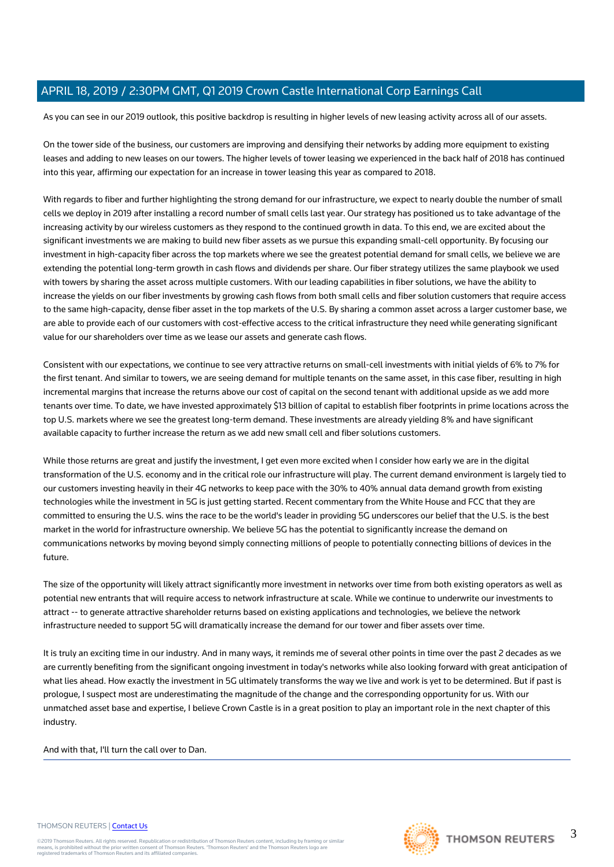As you can see in our 2019 outlook, this positive backdrop is resulting in higher levels of new leasing activity across all of our assets.

On the tower side of the business, our customers are improving and densifying their networks by adding more equipment to existing leases and adding to new leases on our towers. The higher levels of tower leasing we experienced in the back half of 2018 has continued into this year, affirming our expectation for an increase in tower leasing this year as compared to 2018.

With regards to fiber and further highlighting the strong demand for our infrastructure, we expect to nearly double the number of small cells we deploy in 2019 after installing a record number of small cells last year. Our strategy has positioned us to take advantage of the increasing activity by our wireless customers as they respond to the continued growth in data. To this end, we are excited about the significant investments we are making to build new fiber assets as we pursue this expanding small-cell opportunity. By focusing our investment in high-capacity fiber across the top markets where we see the greatest potential demand for small cells, we believe we are extending the potential long-term growth in cash flows and dividends per share. Our fiber strategy utilizes the same playbook we used with towers by sharing the asset across multiple customers. With our leading capabilities in fiber solutions, we have the ability to increase the yields on our fiber investments by growing cash flows from both small cells and fiber solution customers that require access to the same high-capacity, dense fiber asset in the top markets of the U.S. By sharing a common asset across a larger customer base, we are able to provide each of our customers with cost-effective access to the critical infrastructure they need while generating significant value for our shareholders over time as we lease our assets and generate cash flows.

Consistent with our expectations, we continue to see very attractive returns on small-cell investments with initial yields of 6% to 7% for the first tenant. And similar to towers, we are seeing demand for multiple tenants on the same asset, in this case fiber, resulting in high incremental margins that increase the returns above our cost of capital on the second tenant with additional upside as we add more tenants over time. To date, we have invested approximately \$13 billion of capital to establish fiber footprints in prime locations across the top U.S. markets where we see the greatest long-term demand. These investments are already yielding 8% and have significant available capacity to further increase the return as we add new small cell and fiber solutions customers.

While those returns are great and justify the investment, I get even more excited when I consider how early we are in the digital transformation of the U.S. economy and in the critical role our infrastructure will play. The current demand environment is largely tied to our customers investing heavily in their 4G networks to keep pace with the 30% to 40% annual data demand growth from existing technologies while the investment in 5G is just getting started. Recent commentary from the White House and FCC that they are committed to ensuring the U.S. wins the race to be the world's leader in providing 5G underscores our belief that the U.S. is the best market in the world for infrastructure ownership. We believe 5G has the potential to significantly increase the demand on communications networks by moving beyond simply connecting millions of people to potentially connecting billions of devices in the future.

The size of the opportunity will likely attract significantly more investment in networks over time from both existing operators as well as potential new entrants that will require access to network infrastructure at scale. While we continue to underwrite our investments to attract -- to generate attractive shareholder returns based on existing applications and technologies, we believe the network infrastructure needed to support 5G will dramatically increase the demand for our tower and fiber assets over time.

It is truly an exciting time in our industry. And in many ways, it reminds me of several other points in time over the past 2 decades as we are currently benefiting from the significant ongoing investment in today's networks while also looking forward with great anticipation of what lies ahead. How exactly the investment in 5G ultimately transforms the way we live and work is yet to be determined. But if past is prologue, I suspect most are underestimating the magnitude of the change and the corresponding opportunity for us. With our unmatched asset base and expertise, I believe Crown Castle is in a great position to play an important role in the next chapter of this industry.

And with that, I'll turn the call over to Dan.

#### THOMSON REUTERS | [Contact Us](https://my.thomsonreuters.com/ContactUsNew)

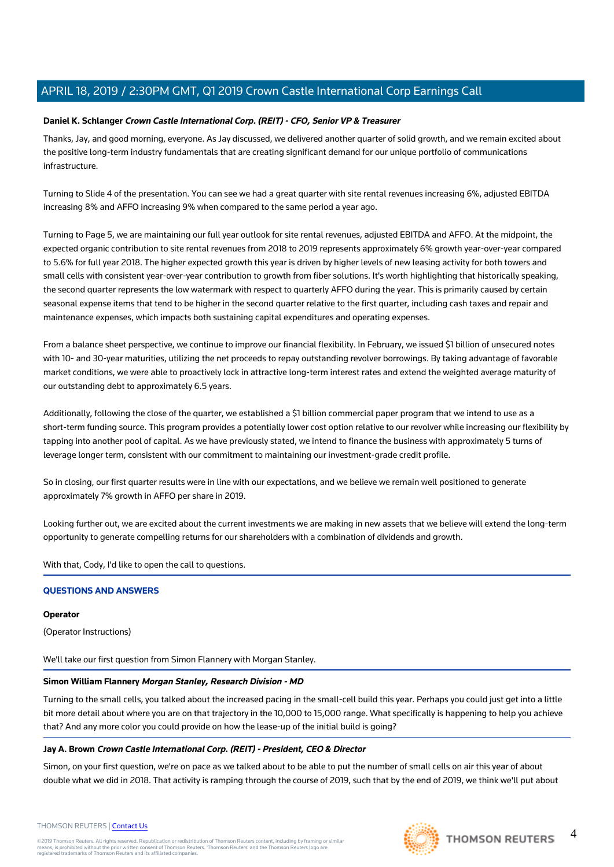## **Daniel K. Schlanger Crown Castle International Corp. (REIT) - CFO, Senior VP & Treasurer**

Thanks, Jay, and good morning, everyone. As Jay discussed, we delivered another quarter of solid growth, and we remain excited about the positive long-term industry fundamentals that are creating significant demand for our unique portfolio of communications infrastructure.

Turning to Slide 4 of the presentation. You can see we had a great quarter with site rental revenues increasing 6%, adjusted EBITDA increasing 8% and AFFO increasing 9% when compared to the same period a year ago.

Turning to Page 5, we are maintaining our full year outlook for site rental revenues, adjusted EBITDA and AFFO. At the midpoint, the expected organic contribution to site rental revenues from 2018 to 2019 represents approximately 6% growth year-over-year compared to 5.6% for full year 2018. The higher expected growth this year is driven by higher levels of new leasing activity for both towers and small cells with consistent year-over-year contribution to growth from fiber solutions. It's worth highlighting that historically speaking, the second quarter represents the low watermark with respect to quarterly AFFO during the year. This is primarily caused by certain seasonal expense items that tend to be higher in the second quarter relative to the first quarter, including cash taxes and repair and maintenance expenses, which impacts both sustaining capital expenditures and operating expenses.

From a balance sheet perspective, we continue to improve our financial flexibility. In February, we issued \$1 billion of unsecured notes with 10- and 30-year maturities, utilizing the net proceeds to repay outstanding revolver borrowings. By taking advantage of favorable market conditions, we were able to proactively lock in attractive long-term interest rates and extend the weighted average maturity of our outstanding debt to approximately 6.5 years.

Additionally, following the close of the quarter, we established a \$1 billion commercial paper program that we intend to use as a short-term funding source. This program provides a potentially lower cost option relative to our revolver while increasing our flexibility by tapping into another pool of capital. As we have previously stated, we intend to finance the business with approximately 5 turns of leverage longer term, consistent with our commitment to maintaining our investment-grade credit profile.

So in closing, our first quarter results were in line with our expectations, and we believe we remain well positioned to generate approximately 7% growth in AFFO per share in 2019.

Looking further out, we are excited about the current investments we are making in new assets that we believe will extend the long-term opportunity to generate compelling returns for our shareholders with a combination of dividends and growth.

With that, Cody, I'd like to open the call to questions.

## **QUESTIONS AND ANSWERS**

#### **Operator**

(Operator Instructions)

We'll take our first question from Simon Flannery with Morgan Stanley.

#### **Simon William Flannery Morgan Stanley, Research Division - MD**

Turning to the small cells, you talked about the increased pacing in the small-cell build this year. Perhaps you could just get into a little bit more detail about where you are on that trajectory in the 10,000 to 15,000 range. What specifically is happening to help you achieve that? And any more color you could provide on how the lease-up of the initial build is going?

#### **Jay A. Brown Crown Castle International Corp. (REIT) - President, CEO & Director**

Simon, on your first question, we're on pace as we talked about to be able to put the number of small cells on air this year of about double what we did in 2018. That activity is ramping through the course of 2019, such that by the end of 2019, we think we'll put about

 $\Delta$ 

## THOMSON REUTERS | [Contact Us](https://my.thomsonreuters.com/ContactUsNew)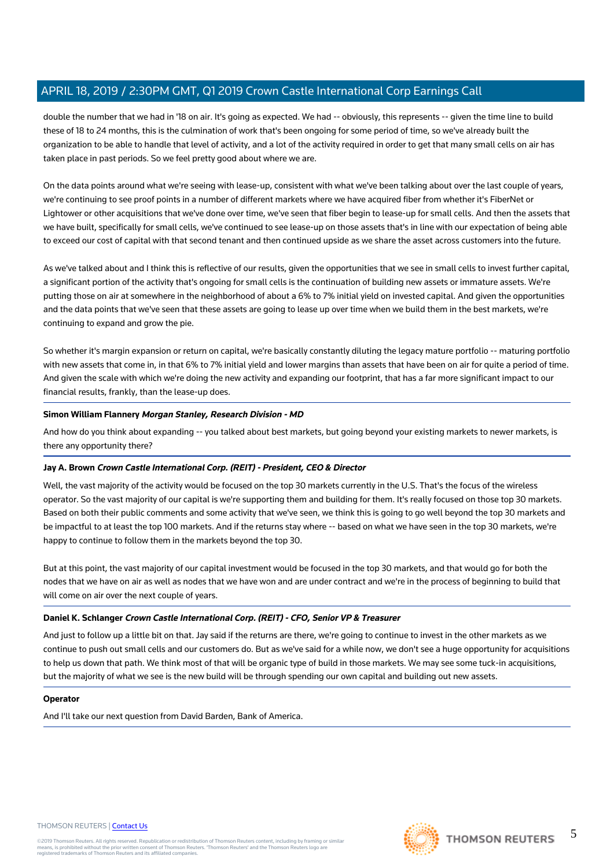double the number that we had in '18 on air. It's going as expected. We had -- obviously, this represents -- given the time line to build these of 18 to 24 months, this is the culmination of work that's been ongoing for some period of time, so we've already built the organization to be able to handle that level of activity, and a lot of the activity required in order to get that many small cells on air has taken place in past periods. So we feel pretty good about where we are.

On the data points around what we're seeing with lease-up, consistent with what we've been talking about over the last couple of years, we're continuing to see proof points in a number of different markets where we have acquired fiber from whether it's FiberNet or Lightower or other acquisitions that we've done over time, we've seen that fiber begin to lease-up for small cells. And then the assets that we have built, specifically for small cells, we've continued to see lease-up on those assets that's in line with our expectation of being able to exceed our cost of capital with that second tenant and then continued upside as we share the asset across customers into the future.

As we've talked about and I think this is reflective of our results, given the opportunities that we see in small cells to invest further capital, a significant portion of the activity that's ongoing for small cells is the continuation of building new assets or immature assets. We're putting those on air at somewhere in the neighborhood of about a 6% to 7% initial yield on invested capital. And given the opportunities and the data points that we've seen that these assets are going to lease up over time when we build them in the best markets, we're continuing to expand and grow the pie.

So whether it's margin expansion or return on capital, we're basically constantly diluting the legacy mature portfolio -- maturing portfolio with new assets that come in, in that 6% to 7% initial yield and lower margins than assets that have been on air for quite a period of time. And given the scale with which we're doing the new activity and expanding our footprint, that has a far more significant impact to our financial results, frankly, than the lease-up does.

### **Simon William Flannery Morgan Stanley, Research Division - MD**

And how do you think about expanding -- you talked about best markets, but going beyond your existing markets to newer markets, is there any opportunity there?

## **Jay A. Brown Crown Castle International Corp. (REIT) - President, CEO & Director**

Well, the vast majority of the activity would be focused on the top 30 markets currently in the U.S. That's the focus of the wireless operator. So the vast majority of our capital is we're supporting them and building for them. It's really focused on those top 30 markets. Based on both their public comments and some activity that we've seen, we think this is going to go well beyond the top 30 markets and be impactful to at least the top 100 markets. And if the returns stay where -- based on what we have seen in the top 30 markets, we're happy to continue to follow them in the markets beyond the top 30.

But at this point, the vast majority of our capital investment would be focused in the top 30 markets, and that would go for both the nodes that we have on air as well as nodes that we have won and are under contract and we're in the process of beginning to build that will come on air over the next couple of years.

## **Daniel K. Schlanger Crown Castle International Corp. (REIT) - CFO, Senior VP & Treasurer**

And just to follow up a little bit on that. Jay said if the returns are there, we're going to continue to invest in the other markets as we continue to push out small cells and our customers do. But as we've said for a while now, we don't see a huge opportunity for acquisitions to help us down that path. We think most of that will be organic type of build in those markets. We may see some tuck-in acquisitions, but the majority of what we see is the new build will be through spending our own capital and building out new assets.

#### **Operator**

And I'll take our next question from David Barden, Bank of America.

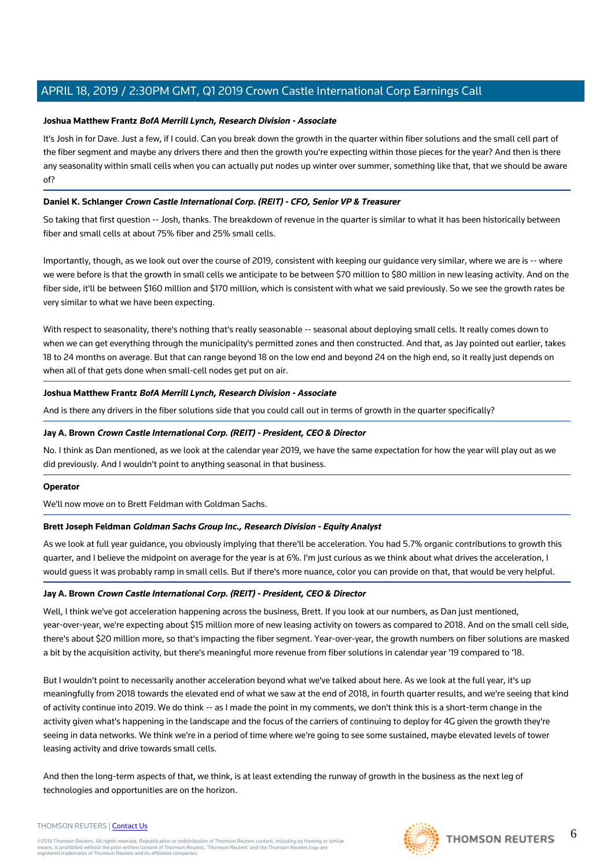#### **Joshua Matthew Frantz BofA Merrill Lynch, Research Division - Associate**

It's Josh in for Dave. Just a few, if I could. Can you break down the growth in the quarter within fiber solutions and the small cell part of the fiber segment and maybe any drivers there and then the growth you're expecting within those pieces for the year? And then is there any seasonality within small cells when you can actually put nodes up winter over summer, something like that, that we should be aware of?

#### **Daniel K. Schlanger Crown Castle International Corp. (REIT) - CFO, Senior VP & Treasurer**

So taking that first question -- Josh, thanks. The breakdown of revenue in the quarter is similar to what it has been historically between fiber and small cells at about 75% fiber and 25% small cells.

Importantly, though, as we look out over the course of 2019, consistent with keeping our guidance very similar, where we are is -- where we were before is that the growth in small cells we anticipate to be between \$70 million to \$80 million in new leasing activity. And on the fiber side, it'll be between \$160 million and \$170 million, which is consistent with what we said previously. So we see the growth rates be very similar to what we have been expecting.

With respect to seasonality, there's nothing that's really seasonable -- seasonal about deploying small cells. It really comes down to when we can get everything through the municipality's permitted zones and then constructed. And that, as Jay pointed out earlier, takes 18 to 24 months on average. But that can range beyond 18 on the low end and beyond 24 on the high end, so it really just depends on when all of that gets done when small-cell nodes get put on air.

#### **Joshua Matthew Frantz BofA Merrill Lynch, Research Division - Associate**

And is there any drivers in the fiber solutions side that you could call out in terms of growth in the quarter specifically?

#### **Jay A. Brown Crown Castle International Corp. (REIT) - President, CEO & Director**

No. I think as Dan mentioned, as we look at the calendar year 2019, we have the same expectation for how the year will play out as we did previously. And I wouldn't point to anything seasonal in that business.

#### **Operator**

We'll now move on to Brett Feldman with Goldman Sachs.

#### **Brett Joseph Feldman Goldman Sachs Group Inc., Research Division - Equity Analyst**

As we look at full year guidance, you obviously implying that there'll be acceleration. You had 5.7% organic contributions to growth this quarter, and I believe the midpoint on average for the year is at 6%. I'm just curious as we think about what drives the acceleration, I would guess it was probably ramp in small cells. But if there's more nuance, color you can provide on that, that would be very helpful.

#### **Jay A. Brown Crown Castle International Corp. (REIT) - President, CEO & Director**

Well, I think we've got acceleration happening across the business, Brett. If you look at our numbers, as Dan just mentioned, year-over-year, we're expecting about \$15 million more of new leasing activity on towers as compared to 2018. And on the small cell side, there's about \$20 million more, so that's impacting the fiber segment. Year-over-year, the growth numbers on fiber solutions are masked a bit by the acquisition activity, but there's meaningful more revenue from fiber solutions in calendar year '19 compared to '18.

But I wouldn't point to necessarily another acceleration beyond what we've talked about here. As we look at the full year, it's up meaningfully from 2018 towards the elevated end of what we saw at the end of 2018, in fourth quarter results, and we're seeing that kind of activity continue into 2019. We do think -- as I made the point in my comments, we don't think this is a short-term change in the activity given what's happening in the landscape and the focus of the carriers of continuing to deploy for 4G given the growth they're seeing in data networks. We think we're in a period of time where we're going to see some sustained, maybe elevated levels of tower leasing activity and drive towards small cells.

And then the long-term aspects of that, we think, is at least extending the runway of growth in the business as the next leg of technologies and opportunities are on the horizon.

#### 6 **THOMSON REUTERS**

#### THOMSON REUTERS | [Contact Us](https://my.thomsonreuters.com/ContactUsNew)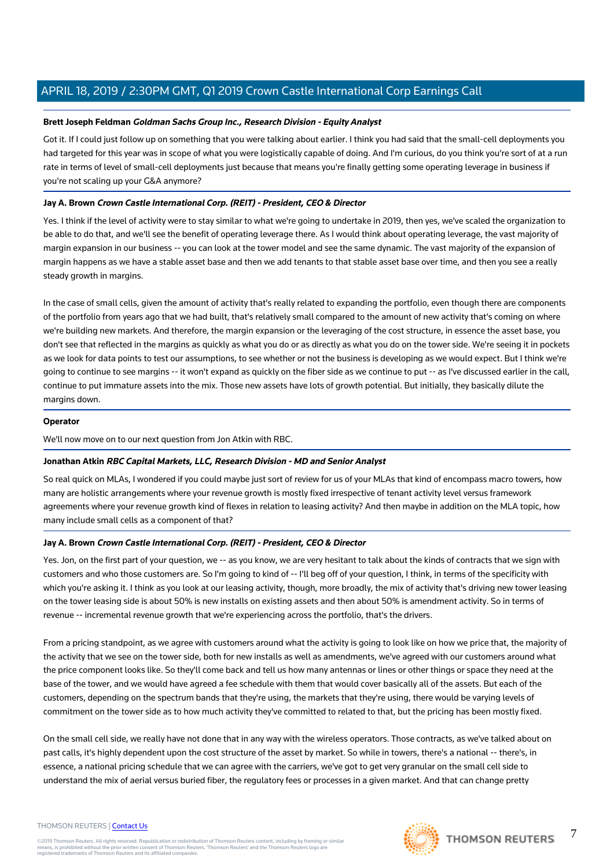#### **Brett Joseph Feldman Goldman Sachs Group Inc., Research Division - Equity Analyst**

Got it. If I could just follow up on something that you were talking about earlier. I think you had said that the small-cell deployments you had targeted for this year was in scope of what you were logistically capable of doing. And I'm curious, do you think you're sort of at a run rate in terms of level of small-cell deployments just because that means you're finally getting some operating leverage in business if you're not scaling up your G&A anymore?

### **Jay A. Brown Crown Castle International Corp. (REIT) - President, CEO & Director**

Yes. I think if the level of activity were to stay similar to what we're going to undertake in 2019, then yes, we've scaled the organization to be able to do that, and we'll see the benefit of operating leverage there. As I would think about operating leverage, the vast majority of margin expansion in our business -- you can look at the tower model and see the same dynamic. The vast majority of the expansion of margin happens as we have a stable asset base and then we add tenants to that stable asset base over time, and then you see a really steady growth in margins.

In the case of small cells, given the amount of activity that's really related to expanding the portfolio, even though there are components of the portfolio from years ago that we had built, that's relatively small compared to the amount of new activity that's coming on where we're building new markets. And therefore, the margin expansion or the leveraging of the cost structure, in essence the asset base, you don't see that reflected in the margins as quickly as what you do or as directly as what you do on the tower side. We're seeing it in pockets as we look for data points to test our assumptions, to see whether or not the business is developing as we would expect. But I think we're going to continue to see margins -- it won't expand as quickly on the fiber side as we continue to put -- as I've discussed earlier in the call, continue to put immature assets into the mix. Those new assets have lots of growth potential. But initially, they basically dilute the margins down.

#### **Operator**

We'll now move on to our next question from Jon Atkin with RBC.

#### **Jonathan Atkin RBC Capital Markets, LLC, Research Division - MD and Senior Analyst**

So real quick on MLAs, I wondered if you could maybe just sort of review for us of your MLAs that kind of encompass macro towers, how many are holistic arrangements where your revenue growth is mostly fixed irrespective of tenant activity level versus framework agreements where your revenue growth kind of flexes in relation to leasing activity? And then maybe in addition on the MLA topic, how many include small cells as a component of that?

#### **Jay A. Brown Crown Castle International Corp. (REIT) - President, CEO & Director**

Yes. Jon, on the first part of your question, we -- as you know, we are very hesitant to talk about the kinds of contracts that we sign with customers and who those customers are. So I'm going to kind of -- I'll beg off of your question, I think, in terms of the specificity with which you're asking it. I think as you look at our leasing activity, though, more broadly, the mix of activity that's driving new tower leasing on the tower leasing side is about 50% is new installs on existing assets and then about 50% is amendment activity. So in terms of revenue -- incremental revenue growth that we're experiencing across the portfolio, that's the drivers.

From a pricing standpoint, as we agree with customers around what the activity is going to look like on how we price that, the majority of the activity that we see on the tower side, both for new installs as well as amendments, we've agreed with our customers around what the price component looks like. So they'll come back and tell us how many antennas or lines or other things or space they need at the base of the tower, and we would have agreed a fee schedule with them that would cover basically all of the assets. But each of the customers, depending on the spectrum bands that they're using, the markets that they're using, there would be varying levels of commitment on the tower side as to how much activity they've committed to related to that, but the pricing has been mostly fixed.

On the small cell side, we really have not done that in any way with the wireless operators. Those contracts, as we've talked about on past calls, it's highly dependent upon the cost structure of the asset by market. So while in towers, there's a national -- there's, in essence, a national pricing schedule that we can agree with the carriers, we've got to get very granular on the small cell side to understand the mix of aerial versus buried fiber, the regulatory fees or processes in a given market. And that can change pretty

#### THOMSON REUTERS | [Contact Us](https://my.thomsonreuters.com/ContactUsNew)

©2019 Thomson Reuters. All rights reserved. Republication or redistribution of Thomson Reuters content, including by framing or similar<br>means, is prohibited without the prior written consent of Thomson Reuters. "Thomson Re



7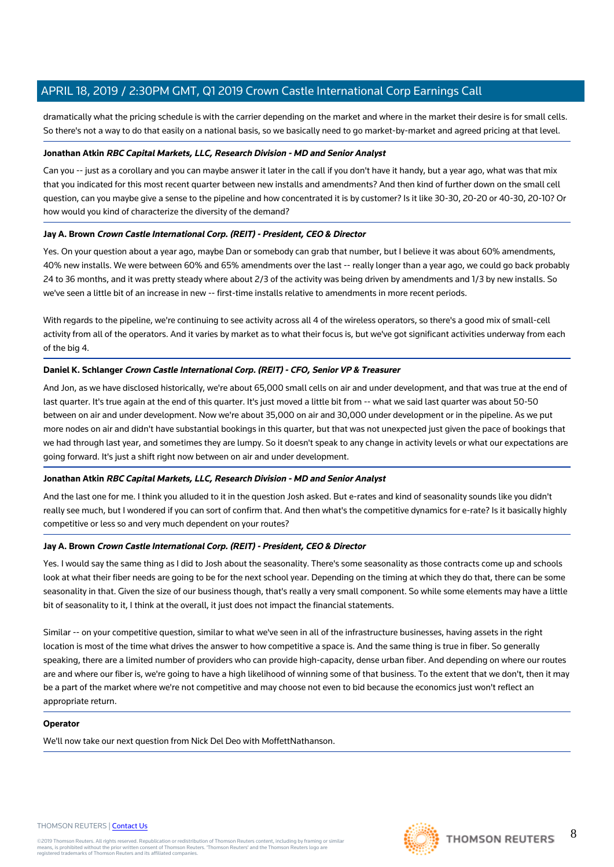dramatically what the pricing schedule is with the carrier depending on the market and where in the market their desire is for small cells. So there's not a way to do that easily on a national basis, so we basically need to go market-by-market and agreed pricing at that level.

#### **Jonathan Atkin RBC Capital Markets, LLC, Research Division - MD and Senior Analyst**

Can you -- just as a corollary and you can maybe answer it later in the call if you don't have it handy, but a year ago, what was that mix that you indicated for this most recent quarter between new installs and amendments? And then kind of further down on the small cell question, can you maybe give a sense to the pipeline and how concentrated it is by customer? Is it like 30-30, 20-20 or 40-30, 20-10? Or how would you kind of characterize the diversity of the demand?

#### **Jay A. Brown Crown Castle International Corp. (REIT) - President, CEO & Director**

Yes. On your question about a year ago, maybe Dan or somebody can grab that number, but I believe it was about 60% amendments, 40% new installs. We were between 60% and 65% amendments over the last -- really longer than a year ago, we could go back probably 24 to 36 months, and it was pretty steady where about 2/3 of the activity was being driven by amendments and 1/3 by new installs. So we've seen a little bit of an increase in new -- first-time installs relative to amendments in more recent periods.

With regards to the pipeline, we're continuing to see activity across all 4 of the wireless operators, so there's a good mix of small-cell activity from all of the operators. And it varies by market as to what their focus is, but we've got significant activities underway from each of the big 4.

#### **Daniel K. Schlanger Crown Castle International Corp. (REIT) - CFO, Senior VP & Treasurer**

And Jon, as we have disclosed historically, we're about 65,000 small cells on air and under development, and that was true at the end of last quarter. It's true again at the end of this quarter. It's just moved a little bit from -- what we said last quarter was about 50-50 between on air and under development. Now we're about 35,000 on air and 30,000 under development or in the pipeline. As we put more nodes on air and didn't have substantial bookings in this quarter, but that was not unexpected just given the pace of bookings that we had through last year, and sometimes they are lumpy. So it doesn't speak to any change in activity levels or what our expectations are going forward. It's just a shift right now between on air and under development.

#### **Jonathan Atkin RBC Capital Markets, LLC, Research Division - MD and Senior Analyst**

And the last one for me. I think you alluded to it in the question Josh asked. But e-rates and kind of seasonality sounds like you didn't really see much, but I wondered if you can sort of confirm that. And then what's the competitive dynamics for e-rate? Is it basically highly competitive or less so and very much dependent on your routes?

#### **Jay A. Brown Crown Castle International Corp. (REIT) - President, CEO & Director**

Yes. I would say the same thing as I did to Josh about the seasonality. There's some seasonality as those contracts come up and schools look at what their fiber needs are going to be for the next school year. Depending on the timing at which they do that, there can be some seasonality in that. Given the size of our business though, that's really a very small component. So while some elements may have a little bit of seasonality to it, I think at the overall, it just does not impact the financial statements.

Similar -- on your competitive question, similar to what we've seen in all of the infrastructure businesses, having assets in the right location is most of the time what drives the answer to how competitive a space is. And the same thing is true in fiber. So generally speaking, there are a limited number of providers who can provide high-capacity, dense urban fiber. And depending on where our routes are and where our fiber is, we're going to have a high likelihood of winning some of that business. To the extent that we don't, then it may be a part of the market where we're not competitive and may choose not even to bid because the economics just won't reflect an appropriate return.

#### **Operator**

We'll now take our next question from Nick Del Deo with MoffettNathanson.

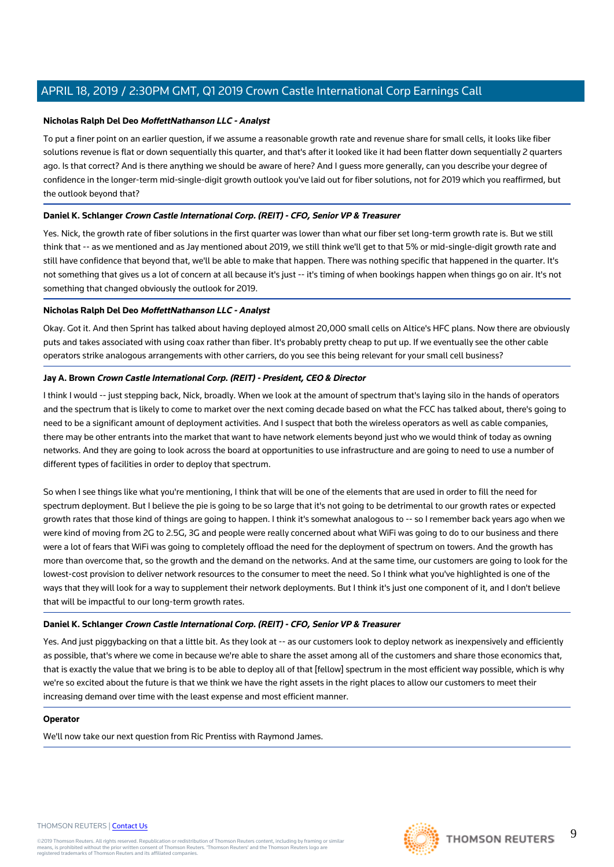#### **Nicholas Ralph Del Deo MoffettNathanson LLC - Analyst**

To put a finer point on an earlier question, if we assume a reasonable growth rate and revenue share for small cells, it looks like fiber solutions revenue is flat or down sequentially this quarter, and that's after it looked like it had been flatter down sequentially 2 quarters ago. Is that correct? And is there anything we should be aware of here? And I guess more generally, can you describe your degree of confidence in the longer-term mid-single-digit growth outlook you've laid out for fiber solutions, not for 2019 which you reaffirmed, but the outlook beyond that?

#### **Daniel K. Schlanger Crown Castle International Corp. (REIT) - CFO, Senior VP & Treasurer**

Yes. Nick, the growth rate of fiber solutions in the first quarter was lower than what our fiber set long-term growth rate is. But we still think that -- as we mentioned and as Jay mentioned about 2019, we still think we'll get to that 5% or mid-single-digit growth rate and still have confidence that beyond that, we'll be able to make that happen. There was nothing specific that happened in the quarter. It's not something that gives us a lot of concern at all because it's just -- it's timing of when bookings happen when things go on air. It's not something that changed obviously the outlook for 2019.

#### **Nicholas Ralph Del Deo MoffettNathanson LLC - Analyst**

Okay. Got it. And then Sprint has talked about having deployed almost 20,000 small cells on Altice's HFC plans. Now there are obviously puts and takes associated with using coax rather than fiber. It's probably pretty cheap to put up. If we eventually see the other cable operators strike analogous arrangements with other carriers, do you see this being relevant for your small cell business?

#### **Jay A. Brown Crown Castle International Corp. (REIT) - President, CEO & Director**

I think I would -- just stepping back, Nick, broadly. When we look at the amount of spectrum that's laying silo in the hands of operators and the spectrum that is likely to come to market over the next coming decade based on what the FCC has talked about, there's going to need to be a significant amount of deployment activities. And I suspect that both the wireless operators as well as cable companies, there may be other entrants into the market that want to have network elements beyond just who we would think of today as owning networks. And they are going to look across the board at opportunities to use infrastructure and are going to need to use a number of different types of facilities in order to deploy that spectrum.

So when I see things like what you're mentioning, I think that will be one of the elements that are used in order to fill the need for spectrum deployment. But I believe the pie is going to be so large that it's not going to be detrimental to our growth rates or expected growth rates that those kind of things are going to happen. I think it's somewhat analogous to -- so I remember back years ago when we were kind of moving from 2G to 2.5G, 3G and people were really concerned about what WiFi was going to do to our business and there were a lot of fears that WiFi was going to completely offload the need for the deployment of spectrum on towers. And the growth has more than overcome that, so the growth and the demand on the networks. And at the same time, our customers are going to look for the lowest-cost provision to deliver network resources to the consumer to meet the need. So I think what you've highlighted is one of the ways that they will look for a way to supplement their network deployments. But I think it's just one component of it, and I don't believe that will be impactful to our long-term growth rates.

#### **Daniel K. Schlanger Crown Castle International Corp. (REIT) - CFO, Senior VP & Treasurer**

Yes. And just piggybacking on that a little bit. As they look at -- as our customers look to deploy network as inexpensively and efficiently as possible, that's where we come in because we're able to share the asset among all of the customers and share those economics that, that is exactly the value that we bring is to be able to deploy all of that [fellow] spectrum in the most efficient way possible, which is why we're so excited about the future is that we think we have the right assets in the right places to allow our customers to meet their increasing demand over time with the least expense and most efficient manner.

#### **Operator**

We'll now take our next question from Ric Prentiss with Raymond James.

#### THOMSON REUTERS | [Contact Us](https://my.thomsonreuters.com/ContactUsNew)

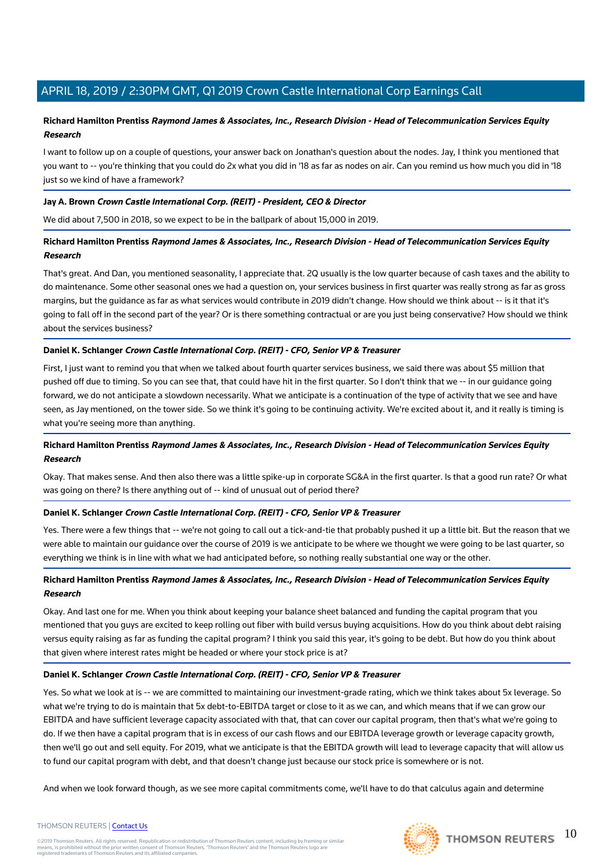## **Richard Hamilton Prentiss Raymond James & Associates, Inc., Research Division - Head of Telecommunication Services Equity Research**

I want to follow up on a couple of questions, your answer back on Jonathan's question about the nodes. Jay, I think you mentioned that you want to -- you're thinking that you could do 2x what you did in '18 as far as nodes on air. Can you remind us how much you did in '18 just so we kind of have a framework?

#### **Jay A. Brown Crown Castle International Corp. (REIT) - President, CEO & Director**

We did about 7,500 in 2018, so we expect to be in the ballpark of about 15,000 in 2019.

## **Richard Hamilton Prentiss Raymond James & Associates, Inc., Research Division - Head of Telecommunication Services Equity Research**

That's great. And Dan, you mentioned seasonality, I appreciate that. 2Q usually is the low quarter because of cash taxes and the ability to do maintenance. Some other seasonal ones we had a question on, your services business in first quarter was really strong as far as gross margins, but the guidance as far as what services would contribute in 2019 didn't change. How should we think about -- is it that it's going to fall off in the second part of the year? Or is there something contractual or are you just being conservative? How should we think about the services business?

#### **Daniel K. Schlanger Crown Castle International Corp. (REIT) - CFO, Senior VP & Treasurer**

First, I just want to remind you that when we talked about fourth quarter services business, we said there was about \$5 million that pushed off due to timing. So you can see that, that could have hit in the first quarter. So I don't think that we -- in our guidance going forward, we do not anticipate a slowdown necessarily. What we anticipate is a continuation of the type of activity that we see and have seen, as Jay mentioned, on the tower side. So we think it's going to be continuing activity. We're excited about it, and it really is timing is what you're seeing more than anything.

## **Richard Hamilton Prentiss Raymond James & Associates, Inc., Research Division - Head of Telecommunication Services Equity Research**

Okay. That makes sense. And then also there was a little spike-up in corporate SG&A in the first quarter. Is that a good run rate? Or what was going on there? Is there anything out of -- kind of unusual out of period there?

## **Daniel K. Schlanger Crown Castle International Corp. (REIT) - CFO, Senior VP & Treasurer**

Yes. There were a few things that -- we're not going to call out a tick-and-tie that probably pushed it up a little bit. But the reason that we were able to maintain our guidance over the course of 2019 is we anticipate to be where we thought we were going to be last quarter, so everything we think is in line with what we had anticipated before, so nothing really substantial one way or the other.

## **Richard Hamilton Prentiss Raymond James & Associates, Inc., Research Division - Head of Telecommunication Services Equity Research**

Okay. And last one for me. When you think about keeping your balance sheet balanced and funding the capital program that you mentioned that you guys are excited to keep rolling out fiber with build versus buying acquisitions. How do you think about debt raising versus equity raising as far as funding the capital program? I think you said this year, it's going to be debt. But how do you think about that given where interest rates might be headed or where your stock price is at?

#### **Daniel K. Schlanger Crown Castle International Corp. (REIT) - CFO, Senior VP & Treasurer**

Yes. So what we look at is -- we are committed to maintaining our investment-grade rating, which we think takes about 5x leverage. So what we're trying to do is maintain that 5x debt-to-EBITDA target or close to it as we can, and which means that if we can grow our EBITDA and have sufficient leverage capacity associated with that, that can cover our capital program, then that's what we're going to do. If we then have a capital program that is in excess of our cash flows and our EBITDA leverage growth or leverage capacity growth, then we'll go out and sell equity. For 2019, what we anticipate is that the EBITDA growth will lead to leverage capacity that will allow us to fund our capital program with debt, and that doesn't change just because our stock price is somewhere or is not.

And when we look forward though, as we see more capital commitments come, we'll have to do that calculus again and determine

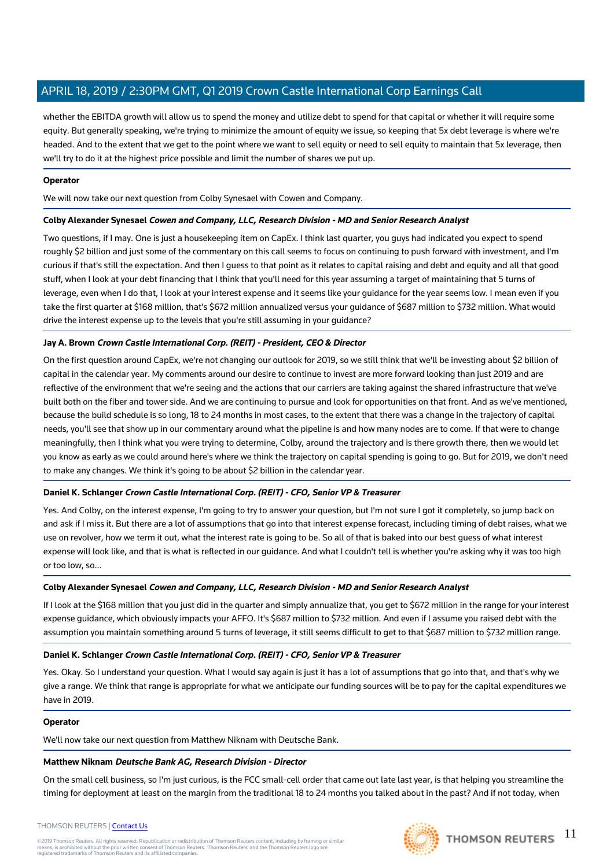whether the EBITDA growth will allow us to spend the money and utilize debt to spend for that capital or whether it will require some equity. But generally speaking, we're trying to minimize the amount of equity we issue, so keeping that 5x debt leverage is where we're headed. And to the extent that we get to the point where we want to sell equity or need to sell equity to maintain that 5x leverage, then we'll try to do it at the highest price possible and limit the number of shares we put up.

### **Operator**

We will now take our next question from Colby Synesael with Cowen and Company.

#### **Colby Alexander Synesael Cowen and Company, LLC, Research Division - MD and Senior Research Analyst**

Two questions, if I may. One is just a housekeeping item on CapEx. I think last quarter, you guys had indicated you expect to spend roughly \$2 billion and just some of the commentary on this call seems to focus on continuing to push forward with investment, and I'm curious if that's still the expectation. And then I guess to that point as it relates to capital raising and debt and equity and all that good stuff, when I look at your debt financing that I think that you'll need for this year assuming a target of maintaining that 5 turns of leverage, even when I do that, I look at your interest expense and it seems like your guidance for the year seems low. I mean even if you take the first quarter at \$168 million, that's \$672 million annualized versus your guidance of \$687 million to \$732 million. What would drive the interest expense up to the levels that you're still assuming in your guidance?

## **Jay A. Brown Crown Castle International Corp. (REIT) - President, CEO & Director**

On the first question around CapEx, we're not changing our outlook for 2019, so we still think that we'll be investing about \$2 billion of capital in the calendar year. My comments around our desire to continue to invest are more forward looking than just 2019 and are reflective of the environment that we're seeing and the actions that our carriers are taking against the shared infrastructure that we've built both on the fiber and tower side. And we are continuing to pursue and look for opportunities on that front. And as we've mentioned, because the build schedule is so long, 18 to 24 months in most cases, to the extent that there was a change in the trajectory of capital needs, you'll see that show up in our commentary around what the pipeline is and how many nodes are to come. If that were to change meaningfully, then I think what you were trying to determine, Colby, around the trajectory and is there growth there, then we would let you know as early as we could around here's where we think the trajectory on capital spending is going to go. But for 2019, we don't need to make any changes. We think it's going to be about \$2 billion in the calendar year.

## **Daniel K. Schlanger Crown Castle International Corp. (REIT) - CFO, Senior VP & Treasurer**

Yes. And Colby, on the interest expense, I'm going to try to answer your question, but I'm not sure I got it completely, so jump back on and ask if I miss it. But there are a lot of assumptions that go into that interest expense forecast, including timing of debt raises, what we use on revolver, how we term it out, what the interest rate is going to be. So all of that is baked into our best guess of what interest expense will look like, and that is what is reflected in our guidance. And what I couldn't tell is whether you're asking why it was too high or too low, so...

#### **Colby Alexander Synesael Cowen and Company, LLC, Research Division - MD and Senior Research Analyst**

If I look at the \$168 million that you just did in the quarter and simply annualize that, you get to \$672 million in the range for your interest expense guidance, which obviously impacts your AFFO. It's \$687 million to \$732 million. And even if I assume you raised debt with the assumption you maintain something around 5 turns of leverage, it still seems difficult to get to that \$687 million to \$732 million range.

#### **Daniel K. Schlanger Crown Castle International Corp. (REIT) - CFO, Senior VP & Treasurer**

Yes. Okay. So I understand your question. What I would say again is just it has a lot of assumptions that go into that, and that's why we give a range. We think that range is appropriate for what we anticipate our funding sources will be to pay for the capital expenditures we have in 2019.

#### **Operator**

We'll now take our next question from Matthew Niknam with Deutsche Bank.

## **Matthew Niknam Deutsche Bank AG, Research Division - Director**

On the small cell business, so I'm just curious, is the FCC small-cell order that came out late last year, is that helping you streamline the timing for deployment at least on the margin from the traditional 18 to 24 months you talked about in the past? And if not today, when

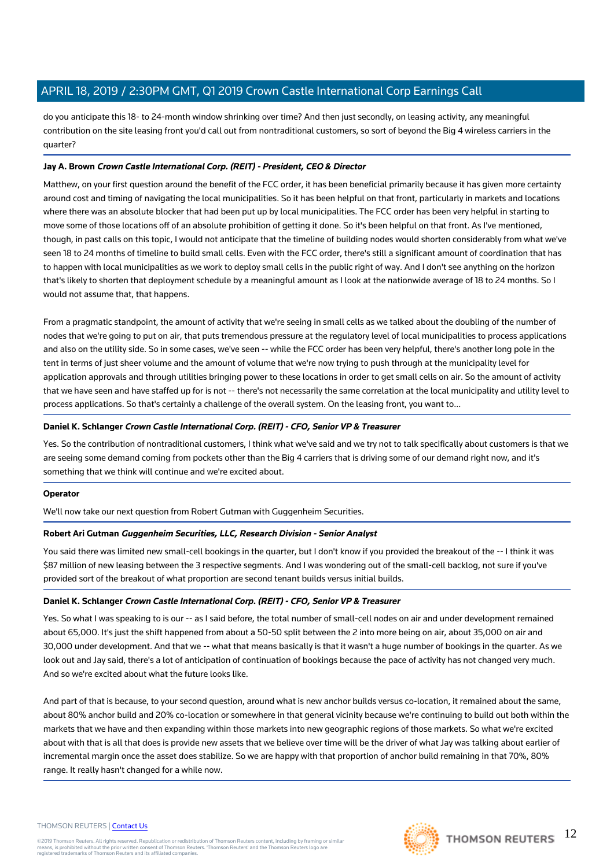do you anticipate this 18- to 24-month window shrinking over time? And then just secondly, on leasing activity, any meaningful contribution on the site leasing front you'd call out from nontraditional customers, so sort of beyond the Big 4 wireless carriers in the quarter?

### **Jay A. Brown Crown Castle International Corp. (REIT) - President, CEO & Director**

Matthew, on your first question around the benefit of the FCC order, it has been beneficial primarily because it has given more certainty around cost and timing of navigating the local municipalities. So it has been helpful on that front, particularly in markets and locations where there was an absolute blocker that had been put up by local municipalities. The FCC order has been very helpful in starting to move some of those locations off of an absolute prohibition of getting it done. So it's been helpful on that front. As I've mentioned, though, in past calls on this topic, I would not anticipate that the timeline of building nodes would shorten considerably from what we've seen 18 to 24 months of timeline to build small cells. Even with the FCC order, there's still a significant amount of coordination that has to happen with local municipalities as we work to deploy small cells in the public right of way. And I don't see anything on the horizon that's likely to shorten that deployment schedule by a meaningful amount as I look at the nationwide average of 18 to 24 months. So I would not assume that, that happens.

From a pragmatic standpoint, the amount of activity that we're seeing in small cells as we talked about the doubling of the number of nodes that we're going to put on air, that puts tremendous pressure at the regulatory level of local municipalities to process applications and also on the utility side. So in some cases, we've seen -- while the FCC order has been very helpful, there's another long pole in the tent in terms of just sheer volume and the amount of volume that we're now trying to push through at the municipality level for application approvals and through utilities bringing power to these locations in order to get small cells on air. So the amount of activity that we have seen and have staffed up for is not -- there's not necessarily the same correlation at the local municipality and utility level to process applications. So that's certainly a challenge of the overall system. On the leasing front, you want to...

### **Daniel K. Schlanger Crown Castle International Corp. (REIT) - CFO, Senior VP & Treasurer**

Yes. So the contribution of nontraditional customers, I think what we've said and we try not to talk specifically about customers is that we are seeing some demand coming from pockets other than the Big 4 carriers that is driving some of our demand right now, and it's something that we think will continue and we're excited about.

#### **Operator**

We'll now take our next question from Robert Gutman with Guggenheim Securities.

#### **Robert Ari Gutman Guggenheim Securities, LLC, Research Division - Senior Analyst**

You said there was limited new small-cell bookings in the quarter, but I don't know if you provided the breakout of the -- I think it was \$87 million of new leasing between the 3 respective segments. And I was wondering out of the small-cell backlog, not sure if you've provided sort of the breakout of what proportion are second tenant builds versus initial builds.

#### **Daniel K. Schlanger Crown Castle International Corp. (REIT) - CFO, Senior VP & Treasurer**

Yes. So what I was speaking to is our -- as I said before, the total number of small-cell nodes on air and under development remained about 65,000. It's just the shift happened from about a 50-50 split between the 2 into more being on air, about 35,000 on air and 30,000 under development. And that we -- what that means basically is that it wasn't a huge number of bookings in the quarter. As we look out and Jay said, there's a lot of anticipation of continuation of bookings because the pace of activity has not changed very much. And so we're excited about what the future looks like.

And part of that is because, to your second question, around what is new anchor builds versus co-location, it remained about the same, about 80% anchor build and 20% co-location or somewhere in that general vicinity because we're continuing to build out both within the markets that we have and then expanding within those markets into new geographic regions of those markets. So what we're excited about with that is all that does is provide new assets that we believe over time will be the driver of what Jay was talking about earlier of incremental margin once the asset does stabilize. So we are happy with that proportion of anchor build remaining in that 70%, 80% range. It really hasn't changed for a while now.

#### THOMSON REUTERS | [Contact Us](https://my.thomsonreuters.com/ContactUsNew)

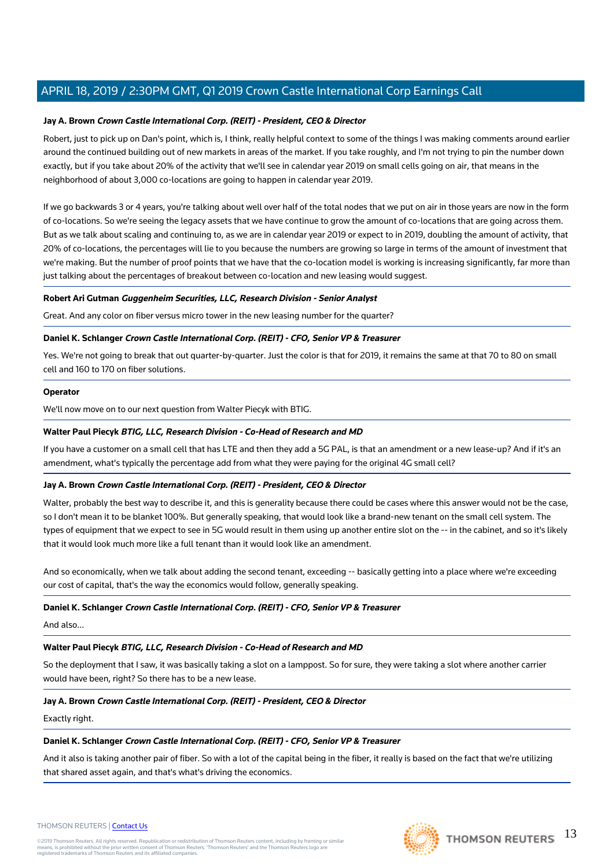## **Jay A. Brown Crown Castle International Corp. (REIT) - President, CEO & Director**

Robert, just to pick up on Dan's point, which is, I think, really helpful context to some of the things I was making comments around earlier around the continued building out of new markets in areas of the market. If you take roughly, and I'm not trying to pin the number down exactly, but if you take about 20% of the activity that we'll see in calendar year 2019 on small cells going on air, that means in the neighborhood of about 3,000 co-locations are going to happen in calendar year 2019.

If we go backwards 3 or 4 years, you're talking about well over half of the total nodes that we put on air in those years are now in the form of co-locations. So we're seeing the legacy assets that we have continue to grow the amount of co-locations that are going across them. But as we talk about scaling and continuing to, as we are in calendar year 2019 or expect to in 2019, doubling the amount of activity, that 20% of co-locations, the percentages will lie to you because the numbers are growing so large in terms of the amount of investment that we're making. But the number of proof points that we have that the co-location model is working is increasing significantly, far more than just talking about the percentages of breakout between co-location and new leasing would suggest.

### **Robert Ari Gutman Guggenheim Securities, LLC, Research Division - Senior Analyst**

Great. And any color on fiber versus micro tower in the new leasing number for the quarter?

#### **Daniel K. Schlanger Crown Castle International Corp. (REIT) - CFO, Senior VP & Treasurer**

Yes. We're not going to break that out quarter-by-quarter. Just the color is that for 2019, it remains the same at that 70 to 80 on small cell and 160 to 170 on fiber solutions.

#### **Operator**

We'll now move on to our next question from Walter Piecyk with BTIG.

### **Walter Paul Piecyk BTIG, LLC, Research Division - Co-Head of Research and MD**

If you have a customer on a small cell that has LTE and then they add a 5G PAL, is that an amendment or a new lease-up? And if it's an amendment, what's typically the percentage add from what they were paying for the original 4G small cell?

#### **Jay A. Brown Crown Castle International Corp. (REIT) - President, CEO & Director**

Walter, probably the best way to describe it, and this is generality because there could be cases where this answer would not be the case, so I don't mean it to be blanket 100%. But generally speaking, that would look like a brand-new tenant on the small cell system. The types of equipment that we expect to see in 5G would result in them using up another entire slot on the -- in the cabinet, and so it's likely that it would look much more like a full tenant than it would look like an amendment.

And so economically, when we talk about adding the second tenant, exceeding -- basically getting into a place where we're exceeding our cost of capital, that's the way the economics would follow, generally speaking.

#### **Daniel K. Schlanger Crown Castle International Corp. (REIT) - CFO, Senior VP & Treasurer**

And also...

#### **Walter Paul Piecyk BTIG, LLC, Research Division - Co-Head of Research and MD**

So the deployment that I saw, it was basically taking a slot on a lamppost. So for sure, they were taking a slot where another carrier would have been, right? So there has to be a new lease.

#### **Jay A. Brown Crown Castle International Corp. (REIT) - President, CEO & Director**

Exactly right.

#### **Daniel K. Schlanger Crown Castle International Corp. (REIT) - CFO, Senior VP & Treasurer**

And it also is taking another pair of fiber. So with a lot of the capital being in the fiber, it really is based on the fact that we're utilizing that shared asset again, and that's what's driving the economics.

#### THOMSON REUTERS | [Contact Us](https://my.thomsonreuters.com/ContactUsNew)

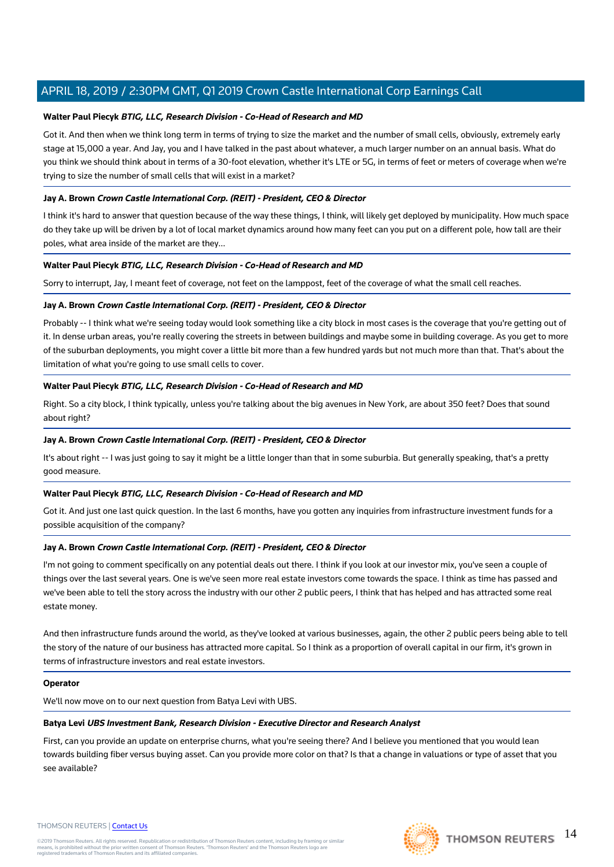#### **Walter Paul Piecyk BTIG, LLC, Research Division - Co-Head of Research and MD**

Got it. And then when we think long term in terms of trying to size the market and the number of small cells, obviously, extremely early stage at 15,000 a year. And Jay, you and I have talked in the past about whatever, a much larger number on an annual basis. What do you think we should think about in terms of a 30-foot elevation, whether it's LTE or 5G, in terms of feet or meters of coverage when we're trying to size the number of small cells that will exist in a market?

### **Jay A. Brown Crown Castle International Corp. (REIT) - President, CEO & Director**

I think it's hard to answer that question because of the way these things, I think, will likely get deployed by municipality. How much space do they take up will be driven by a lot of local market dynamics around how many feet can you put on a different pole, how tall are their poles, what area inside of the market are they...

#### **Walter Paul Piecyk BTIG, LLC, Research Division - Co-Head of Research and MD**

Sorry to interrupt, Jay, I meant feet of coverage, not feet on the lamppost, feet of the coverage of what the small cell reaches.

## **Jay A. Brown Crown Castle International Corp. (REIT) - President, CEO & Director**

Probably -- I think what we're seeing today would look something like a city block in most cases is the coverage that you're getting out of it. In dense urban areas, you're really covering the streets in between buildings and maybe some in building coverage. As you get to more of the suburban deployments, you might cover a little bit more than a few hundred yards but not much more than that. That's about the limitation of what you're going to use small cells to cover.

### **Walter Paul Piecyk BTIG, LLC, Research Division - Co-Head of Research and MD**

Right. So a city block, I think typically, unless you're talking about the big avenues in New York, are about 350 feet? Does that sound about right?

#### **Jay A. Brown Crown Castle International Corp. (REIT) - President, CEO & Director**

It's about right -- I was just going to say it might be a little longer than that in some suburbia. But generally speaking, that's a pretty good measure.

#### **Walter Paul Piecyk BTIG, LLC, Research Division - Co-Head of Research and MD**

Got it. And just one last quick question. In the last 6 months, have you gotten any inquiries from infrastructure investment funds for a possible acquisition of the company?

#### **Jay A. Brown Crown Castle International Corp. (REIT) - President, CEO & Director**

I'm not going to comment specifically on any potential deals out there. I think if you look at our investor mix, you've seen a couple of things over the last several years. One is we've seen more real estate investors come towards the space. I think as time has passed and we've been able to tell the story across the industry with our other 2 public peers, I think that has helped and has attracted some real estate money.

And then infrastructure funds around the world, as they've looked at various businesses, again, the other 2 public peers being able to tell the story of the nature of our business has attracted more capital. So I think as a proportion of overall capital in our firm, it's grown in terms of infrastructure investors and real estate investors.

#### **Operator**

We'll now move on to our next question from Batya Levi with UBS.

## **Batya Levi UBS Investment Bank, Research Division - Executive Director and Research Analyst**

First, can you provide an update on enterprise churns, what you're seeing there? And I believe you mentioned that you would lean towards building fiber versus buying asset. Can you provide more color on that? Is that a change in valuations or type of asset that you see available?

#### THOMSON REUTERS | [Contact Us](https://my.thomsonreuters.com/ContactUsNew)

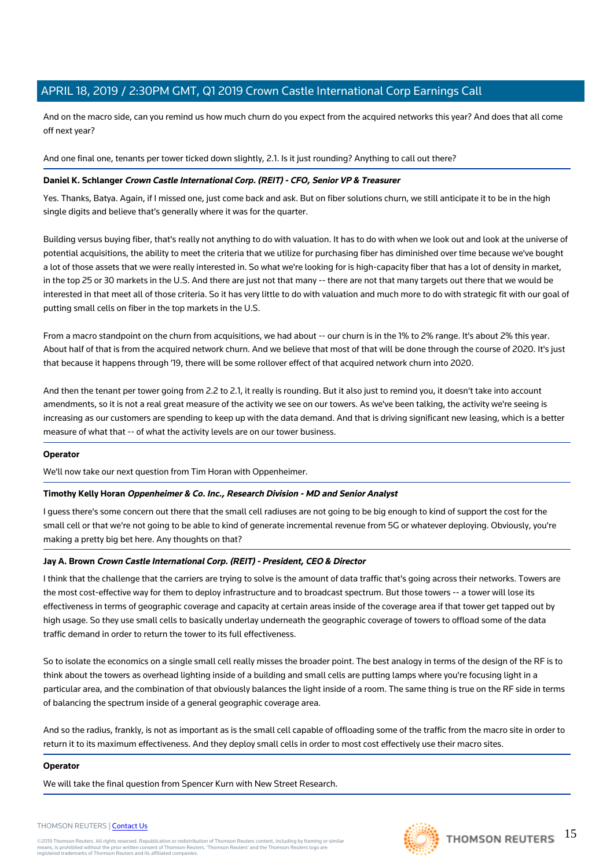And on the macro side, can you remind us how much churn do you expect from the acquired networks this year? And does that all come off next year?

#### And one final one, tenants per tower ticked down slightly, 2.1. Is it just rounding? Anything to call out there?

#### **Daniel K. Schlanger Crown Castle International Corp. (REIT) - CFO, Senior VP & Treasurer**

Yes. Thanks, Batya. Again, if I missed one, just come back and ask. But on fiber solutions churn, we still anticipate it to be in the high single digits and believe that's generally where it was for the quarter.

Building versus buying fiber, that's really not anything to do with valuation. It has to do with when we look out and look at the universe of potential acquisitions, the ability to meet the criteria that we utilize for purchasing fiber has diminished over time because we've bought a lot of those assets that we were really interested in. So what we're looking for is high-capacity fiber that has a lot of density in market, in the top 25 or 30 markets in the U.S. And there are just not that many -- there are not that many targets out there that we would be interested in that meet all of those criteria. So it has very little to do with valuation and much more to do with strategic fit with our goal of putting small cells on fiber in the top markets in the U.S.

From a macro standpoint on the churn from acquisitions, we had about -- our churn is in the 1% to 2% range. It's about 2% this year. About half of that is from the acquired network churn. And we believe that most of that will be done through the course of 2020. It's just that because it happens through '19, there will be some rollover effect of that acquired network churn into 2020.

And then the tenant per tower going from 2.2 to 2.1, it really is rounding. But it also just to remind you, it doesn't take into account amendments, so it is not a real great measure of the activity we see on our towers. As we've been talking, the activity we're seeing is increasing as our customers are spending to keep up with the data demand. And that is driving significant new leasing, which is a better measure of what that -- of what the activity levels are on our tower business.

#### **Operator**

We'll now take our next question from Tim Horan with Oppenheimer.

#### **Timothy Kelly Horan Oppenheimer & Co. Inc., Research Division - MD and Senior Analyst**

I guess there's some concern out there that the small cell radiuses are not going to be big enough to kind of support the cost for the small cell or that we're not going to be able to kind of generate incremental revenue from 5G or whatever deploying. Obviously, you're making a pretty big bet here. Any thoughts on that?

#### **Jay A. Brown Crown Castle International Corp. (REIT) - President, CEO & Director**

I think that the challenge that the carriers are trying to solve is the amount of data traffic that's going across their networks. Towers are the most cost-effective way for them to deploy infrastructure and to broadcast spectrum. But those towers -- a tower will lose its effectiveness in terms of geographic coverage and capacity at certain areas inside of the coverage area if that tower get tapped out by high usage. So they use small cells to basically underlay underneath the geographic coverage of towers to offload some of the data traffic demand in order to return the tower to its full effectiveness.

So to isolate the economics on a single small cell really misses the broader point. The best analogy in terms of the design of the RF is to think about the towers as overhead lighting inside of a building and small cells are putting lamps where you're focusing light in a particular area, and the combination of that obviously balances the light inside of a room. The same thing is true on the RF side in terms of balancing the spectrum inside of a general geographic coverage area.

And so the radius, frankly, is not as important as is the small cell capable of offloading some of the traffic from the macro site in order to return it to its maximum effectiveness. And they deploy small cells in order to most cost effectively use their macro sites.

#### **Operator**

We will take the final question from Spencer Kurn with New Street Research.



THOMSON REUTERS | [Contact Us](https://my.thomsonreuters.com/ContactUsNew)